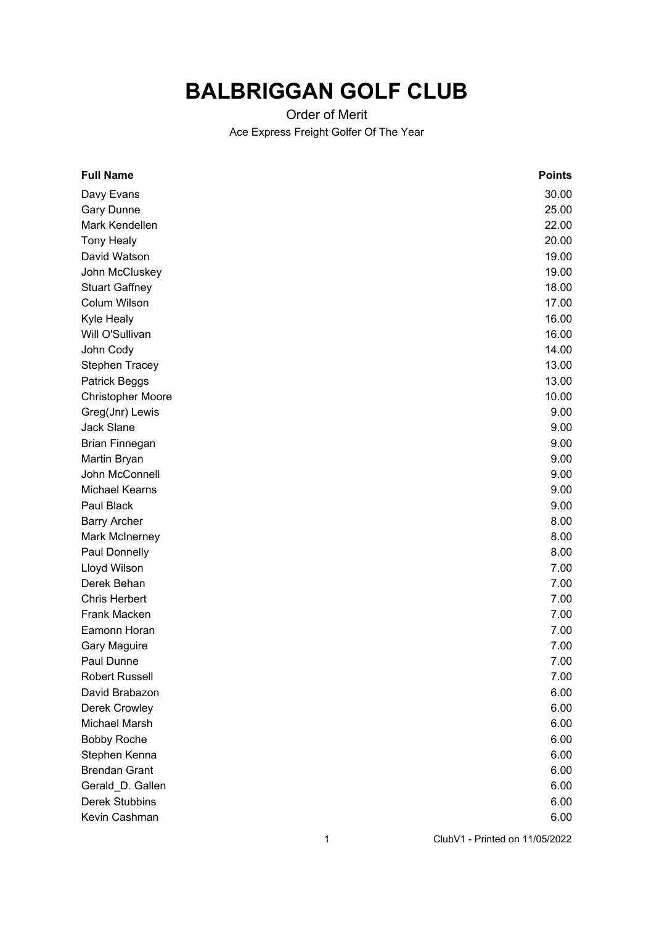## **BALBRIGGAN GOLF CLUB**

## Order of Merit Ace Express Freight Golfer Of The Year

| <b>Full Name</b>         | <b>Points</b> |
|--------------------------|---------------|
| Davy Evans               | 30.00         |
| <b>Gary Dunne</b>        | 25.00         |
| Mark Kendellen           | 22.00         |
| <b>Tony Healy</b>        | 20.00         |
| David Watson             | 19.00         |
| John McCluskey           | 19.00         |
| <b>Stuart Gaffney</b>    | 18.00         |
| Colum Wilson             | 17.00         |
| Kyle Healy               | 16.00         |
| Will O'Sullivan          | 16.00         |
| John Cody                | 14.00         |
| <b>Stephen Tracey</b>    | 13.00         |
| Patrick Beggs            | 13.00         |
| <b>Christopher Moore</b> | 10.00         |
| Greg(Jnr) Lewis          | 9.00          |
| <b>Jack Slane</b>        | 9.00          |
| <b>Brian Finnegan</b>    | 9.00          |
| Martin Bryan             | 9.00          |
| John McConnell           | 9.00          |
| <b>Michael Kearns</b>    | 9.00          |
| Paul Black               | 9.00          |
| <b>Barry Archer</b>      | 8.00          |
| Mark McInerney           | 8.00          |
| Paul Donnelly            | 8.00          |
| Lloyd Wilson             | 7.00          |
| Derek Behan              | 7.00          |
| <b>Chris Herbert</b>     | 7.00          |
| Frank Macken             | 7.00          |
| Eamonn Horan             | 7.00          |
| <b>Gary Maguire</b>      | 7.00          |
| Paul Dunne               | 7.00          |
| <b>Robert Russell</b>    | 7.00          |
| David Brabazon           | 6.00          |
| Derek Crowley            | 6.00          |
| Michael Marsh            | 6.00          |
| <b>Bobby Roche</b>       | 6.00          |
| Stephen Kenna            | 6.00          |
| <b>Brendan Grant</b>     | 6.00          |
| Gerald_D. Gallen         | 6.00          |
| Derek Stubbins           | 6.00          |
| Kevin Cashman            | 6.00          |
|                          |               |